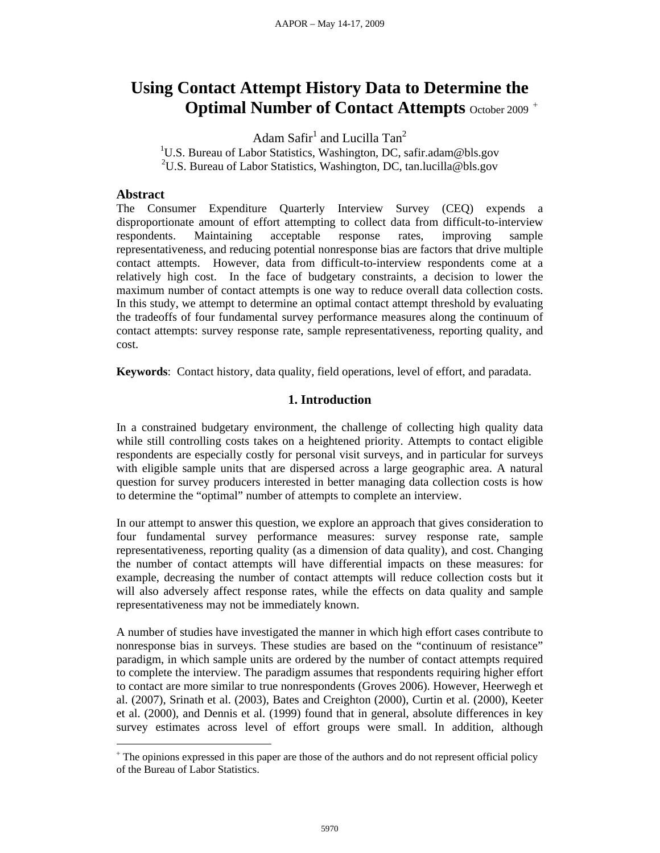# **Using Contact Attempt History Data to Determine the Optimal Number of Contact Attempts** October 2009<sup>+</sup>

Adam Safir<sup>1</sup> and Lucilla Tan<sup>2</sup>

<sup>1</sup>U.S. Bureau of Labor Statistics, Washington, DC, safir.adam@bls.gov <sup>2</sup>U.S. Bureau of Labor Statistics, Washington, DC, tan.lucilla@bls.gov

# **Abstract**

 $\overline{a}$ 

The Consumer Expenditure Quarterly Interview Survey (CEQ) expends a disproportionate amount of effort attempting to collect data from difficult-to-interview respondents. Maintaining acceptable response rates, improving sample representativeness, and reducing potential nonresponse bias are factors that drive multiple contact attempts. However, data from difficult-to-interview respondents come at a relatively high cost. In the face of budgetary constraints, a decision to lower the maximum number of contact attempts is one way to reduce overall data collection costs. In this study, we attempt to determine an optimal contact attempt threshold by evaluating the tradeoffs of four fundamental survey performance measures along the continuum of contact attempts: survey response rate, sample representativeness, reporting quality, and cost.

**Keywords**: Contact history, data quality, field operations, level of effort, and paradata.

# **1. Introduction**

In a constrained budgetary environment, the challenge of collecting high quality data while still controlling costs takes on a heightened priority. Attempts to contact eligible respondents are especially costly for personal visit surveys, and in particular for surveys with eligible sample units that are dispersed across a large geographic area. A natural question for survey producers interested in better managing data collection costs is how to determine the "optimal" number of attempts to complete an interview.

In our attempt to answer this question, we explore an approach that gives consideration to four fundamental survey performance measures: survey response rate, sample representativeness, reporting quality (as a dimension of data quality), and cost. Changing the number of contact attempts will have differential impacts on these measures: for example, decreasing the number of contact attempts will reduce collection costs but it will also adversely affect response rates, while the effects on data quality and sample representativeness may not be immediately known.

A number of studies have investigated the manner in which high effort cases contribute to nonresponse bias in surveys. These studies are based on the "continuum of resistance" paradigm, in which sample units are ordered by the number of contact attempts required to complete the interview. The paradigm assumes that respondents requiring higher effort to contact are more similar to true nonrespondents (Groves 2006). However, Heerwegh et al. (2007), Srinath et al. (2003), Bates and Creighton (2000), Curtin et al. (2000), Keeter et al. (2000), and Dennis et al. (1999) found that in general, absolute differences in key survey estimates across level of effort groups were small. In addition, although

<sup>&</sup>lt;sup>+</sup> The opinions expressed in this paper are those of the authors and do not represent official policy of the Bureau of Labor Statistics.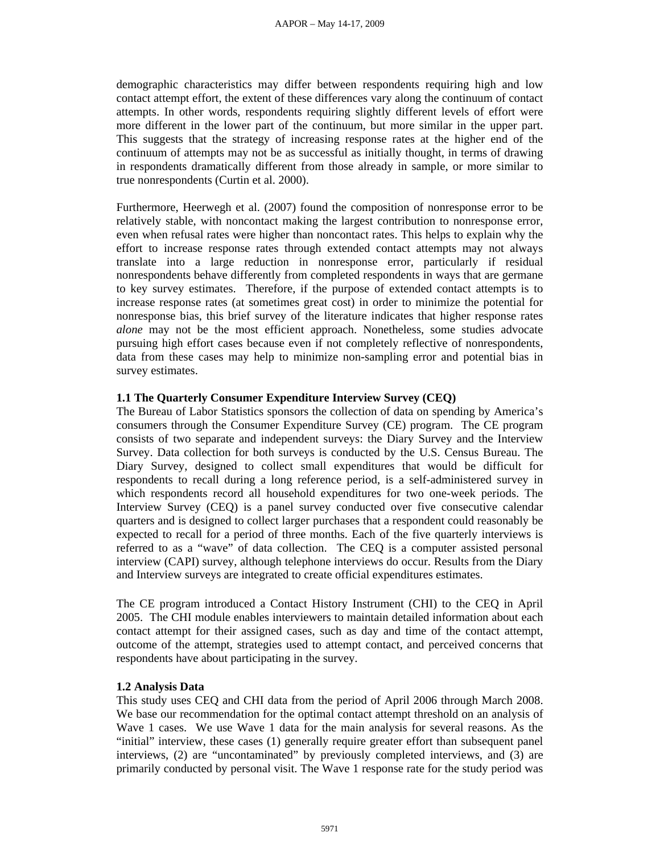demographic characteristics may differ between respondents requiring high and low contact attempt effort, the extent of these differences vary along the continuum of contact attempts. In other words, respondents requiring slightly different levels of effort were more different in the lower part of the continuum, but more similar in the upper part. This suggests that the strategy of increasing response rates at the higher end of the continuum of attempts may not be as successful as initially thought, in terms of drawing in respondents dramatically different from those already in sample, or more similar to true nonrespondents (Curtin et al. 2000).

Furthermore, Heerwegh et al. (2007) found the composition of nonresponse error to be relatively stable, with noncontact making the largest contribution to nonresponse error, even when refusal rates were higher than noncontact rates. This helps to explain why the effort to increase response rates through extended contact attempts may not always translate into a large reduction in nonresponse error, particularly if residual nonrespondents behave differently from completed respondents in ways that are germane to key survey estimates. Therefore, if the purpose of extended contact attempts is to increase response rates (at sometimes great cost) in order to minimize the potential for nonresponse bias, this brief survey of the literature indicates that higher response rates *alone* may not be the most efficient approach. Nonetheless, some studies advocate pursuing high effort cases because even if not completely reflective of nonrespondents, data from these cases may help to minimize non-sampling error and potential bias in survey estimates.

## **1.1 The Quarterly Consumer Expenditure Interview Survey (CEQ)**

The Bureau of Labor Statistics sponsors the collection of data on spending by America's consumers through the Consumer Expenditure Survey (CE) program. The CE program consists of two separate and independent surveys: the Diary Survey and the Interview Survey. Data collection for both surveys is conducted by the U.S. Census Bureau. The Diary Survey, designed to collect small expenditures that would be difficult for respondents to recall during a long reference period, is a self-administered survey in which respondents record all household expenditures for two one-week periods. The Interview Survey (CEQ) is a panel survey conducted over five consecutive calendar quarters and is designed to collect larger purchases that a respondent could reasonably be expected to recall for a period of three months. Each of the five quarterly interviews is referred to as a "wave" of data collection. The CEQ is a computer assisted personal interview (CAPI) survey, although telephone interviews do occur. Results from the Diary and Interview surveys are integrated to create official expenditures estimates.

The CE program introduced a Contact History Instrument (CHI) to the CEQ in April 2005. The CHI module enables interviewers to maintain detailed information about each contact attempt for their assigned cases, such as day and time of the contact attempt, outcome of the attempt, strategies used to attempt contact, and perceived concerns that respondents have about participating in the survey.

#### **1.2 Analysis Data**

This study uses CEQ and CHI data from the period of April 2006 through March 2008. We base our recommendation for the optimal contact attempt threshold on an analysis of Wave 1 cases. We use Wave 1 data for the main analysis for several reasons. As the "initial" interview, these cases (1) generally require greater effort than subsequent panel interviews, (2) are "uncontaminated" by previously completed interviews, and (3) are primarily conducted by personal visit. The Wave 1 response rate for the study period was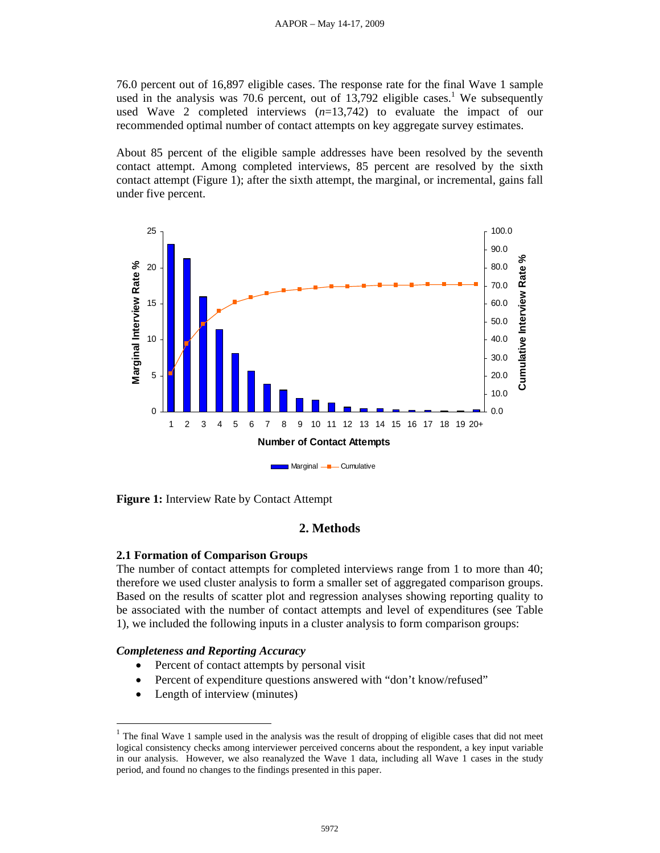76.0 percent out of 16,897 eligible cases. The response rate for the final Wave 1 sample used in the analysis was 70.6 percent, out of  $13,792$  eligible cases.<sup>1</sup> We subsequently used Wave 2 completed interviews (*n*=13,742) to evaluate the impact of our recommended optimal number of contact attempts on key aggregate survey estimates.

About 85 percent of the eligible sample addresses have been resolved by the seventh contact attempt. Among completed interviews, 85 percent are resolved by the sixth contact attempt (Figure 1); after the sixth attempt, the marginal, or incremental, gains fall under five percent.



**Figure 1:** Interview Rate by Contact Attempt

# **2. Methods**

#### **2.1 Formation of Comparison Groups**

The number of contact attempts for completed interviews range from 1 to more than 40; therefore we used cluster analysis to form a smaller set of aggregated comparison groups. Based on the results of scatter plot and regression analyses showing reporting quality to be associated with the number of contact attempts and level of expenditures (see Table 1), we included the following inputs in a cluster analysis to form comparison groups:

#### *Completeness and Reporting Accuracy*

- Percent of contact attempts by personal visit
- Percent of expenditure questions answered with "don't know/refused"
- Length of interview (minutes)

 $\overline{a}$ 

 $1$  The final Wave 1 sample used in the analysis was the result of dropping of eligible cases that did not meet logical consistency checks among interviewer perceived concerns about the respondent, a key input variable in our analysis. However, we also reanalyzed the Wave 1 data, including all Wave 1 cases in the study period, and found no changes to the findings presented in this paper.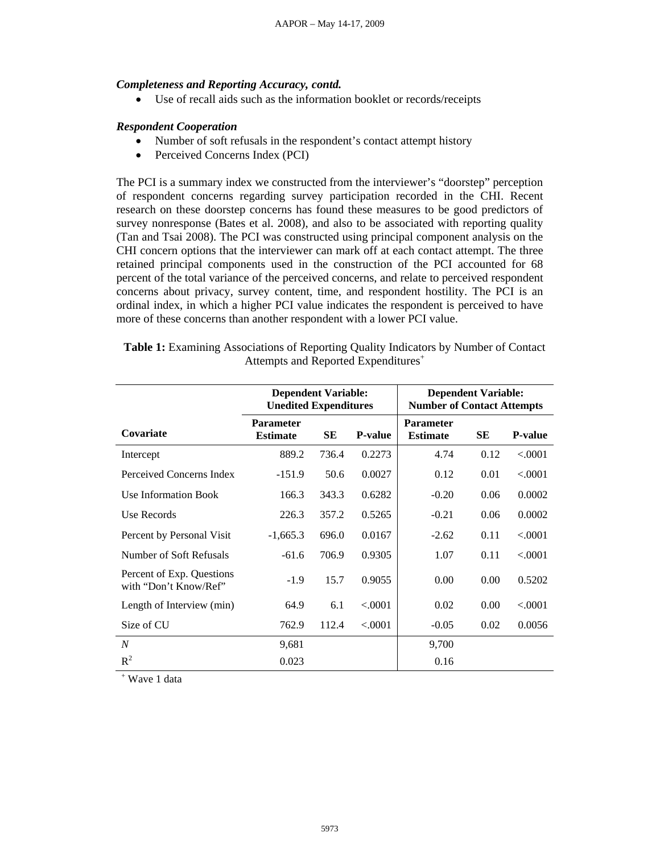#### *Completeness and Reporting Accuracy, contd.*

• Use of recall aids such as the information booklet or records/receipts

# *Respondent Cooperation*

- Number of soft refusals in the respondent's contact attempt history
- Perceived Concerns Index (PCI)

The PCI is a summary index we constructed from the interviewer's "doorstep" perception of respondent concerns regarding survey participation recorded in the CHI. Recent research on these doorstep concerns has found these measures to be good predictors of survey nonresponse (Bates et al. 2008), and also to be associated with reporting quality (Tan and Tsai 2008). The PCI was constructed using principal component analysis on the CHI concern options that the interviewer can mark off at each contact attempt. The three retained principal components used in the construction of the PCI accounted for 68 percent of the total variance of the perceived concerns, and relate to perceived respondent concerns about privacy, survey content, time, and respondent hostility. The PCI is an ordinal index, in which a higher PCI value indicates the respondent is perceived to have more of these concerns than another respondent with a lower PCI value.

|                                                    | <b>Dependent Variable:</b><br><b>Unedited Expenditures</b> |           |                | <b>Number of Contact Attempts</b>   | <b>Dependent Variable:</b> |                |
|----------------------------------------------------|------------------------------------------------------------|-----------|----------------|-------------------------------------|----------------------------|----------------|
| Covariate                                          | <b>Parameter</b><br><b>Estimate</b>                        | <b>SE</b> | <b>P-value</b> | <b>Parameter</b><br><b>Estimate</b> | <b>SE</b>                  | <b>P-value</b> |
| Intercept                                          | 889.2                                                      | 736.4     | 0.2273         | 4.74                                | 0.12                       | < .0001        |
| Perceived Concerns Index                           | $-151.9$                                                   | 50.6      | 0.0027         | 0.12                                | 0.01                       | < .0001        |
| Use Information Book                               | 166.3                                                      | 343.3     | 0.6282         | $-0.20$                             | 0.06                       | 0.0002         |
| Use Records                                        | 226.3                                                      | 357.2     | 0.5265         | $-0.21$                             | 0.06                       | 0.0002         |
| Percent by Personal Visit                          | $-1,665.3$                                                 | 696.0     | 0.0167         | $-2.62$                             | 0.11                       | < .0001        |
| Number of Soft Refusals                            | $-61.6$                                                    | 706.9     | 0.9305         | 1.07                                | 0.11                       | < .0001        |
| Percent of Exp. Questions<br>with "Don't Know/Ref" | $-1.9$                                                     | 15.7      | 0.9055         | 0.00                                | 0.00                       | 0.5202         |
| Length of Interview (min)                          | 64.9                                                       | 6.1       | < .0001        | 0.02                                | 0.00                       | < .0001        |
| Size of CU                                         | 762.9                                                      | 112.4     | < .0001        | $-0.05$                             | 0.02                       | 0.0056         |
| $\boldsymbol{N}$                                   | 9,681                                                      |           |                | 9,700                               |                            |                |
| $R^2$                                              | 0.023                                                      |           |                | 0.16                                |                            |                |

**Table 1:** Examining Associations of Reporting Quality Indicators by Number of Contact Attempts and Reported Expenditures<sup>+</sup>

+ Wave 1 data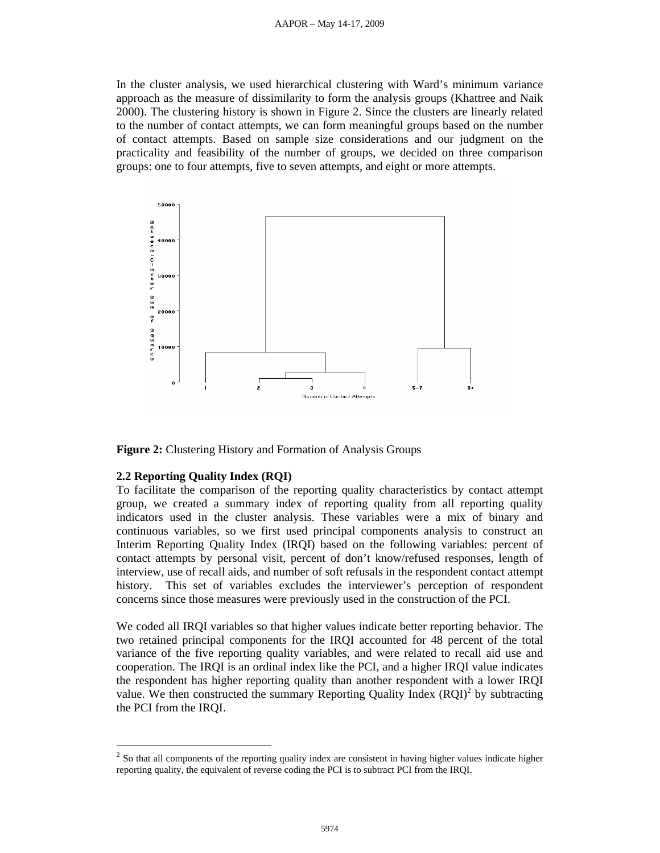#### AAPOR – May 14-17, 2009

In the cluster analysis, we used hierarchical clustering with Ward's minimum variance approach as the measure of dissimilarity to form the analysis groups (Khattree and Naik 2000). The clustering history is shown in Figure 2. Since the clusters are linearly related to the number of contact attempts, we can form meaningful groups based on the number of contact attempts. Based on sample size considerations and our judgment on the practicality and feasibility of the number of groups, we decided on three comparison groups: one to four attempts, five to seven attempts, and eight or more attempts.



**Figure 2:** Clustering History and Formation of Analysis Groups

#### **2.2 Reporting Quality Index (RQI)**

 $\overline{a}$ 

To facilitate the comparison of the reporting quality characteristics by contact attempt group, we created a summary index of reporting quality from all reporting quality indicators used in the cluster analysis. These variables were a mix of binary and continuous variables, so we first used principal components analysis to construct an Interim Reporting Quality Index (IRQI) based on the following variables: percent of contact attempts by personal visit, percent of don't know/refused responses, length of interview, use of recall aids, and number of soft refusals in the respondent contact attempt history. This set of variables excludes the interviewer's perception of respondent concerns since those measures were previously used in the construction of the PCI.

We coded all IRQI variables so that higher values indicate better reporting behavior. The two retained principal components for the IRQI accounted for 48 percent of the total variance of the five reporting quality variables, and were related to recall aid use and cooperation. The IRQI is an ordinal index like the PCI, and a higher IRQI value indicates the respondent has higher reporting quality than another respondent with a lower IRQI value. We then constructed the summary Reporting Quality Index  $(RQI)^2$  by subtracting the PCI from the IRQI.

<sup>&</sup>lt;sup>2</sup> So that all components of the reporting quality index are consistent in having higher values indicate higher reporting quality, the equivalent of reverse coding the PCI is to subtract PCI from the IRQI.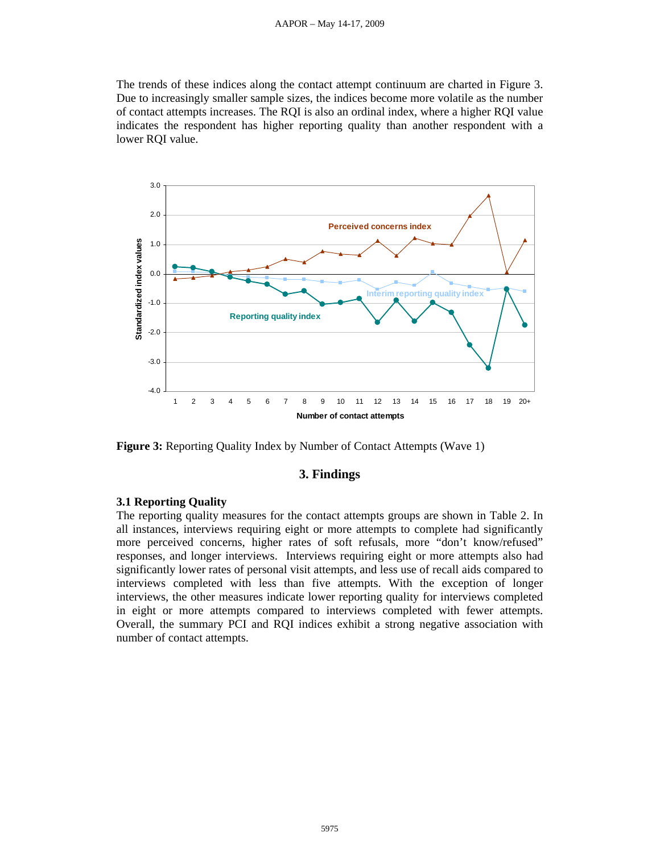#### AAPOR – May 14-17, 2009

The trends of these indices along the contact attempt continuum are charted in Figure 3. Due to increasingly smaller sample sizes, the indices become more volatile as the number of contact attempts increases. The RQI is also an ordinal index, where a higher RQI value indicates the respondent has higher reporting quality than another respondent with a lower RQI value.



**Figure 3:** Reporting Quality Index by Number of Contact Attempts (Wave 1)

## **3. Findings**

#### **3.1 Reporting Quality**

The reporting quality measures for the contact attempts groups are shown in Table 2. In all instances, interviews requiring eight or more attempts to complete had significantly more perceived concerns, higher rates of soft refusals, more "don't know/refused" responses, and longer interviews. Interviews requiring eight or more attempts also had significantly lower rates of personal visit attempts, and less use of recall aids compared to interviews completed with less than five attempts. With the exception of longer interviews, the other measures indicate lower reporting quality for interviews completed in eight or more attempts compared to interviews completed with fewer attempts. Overall, the summary PCI and RQI indices exhibit a strong negative association with number of contact attempts.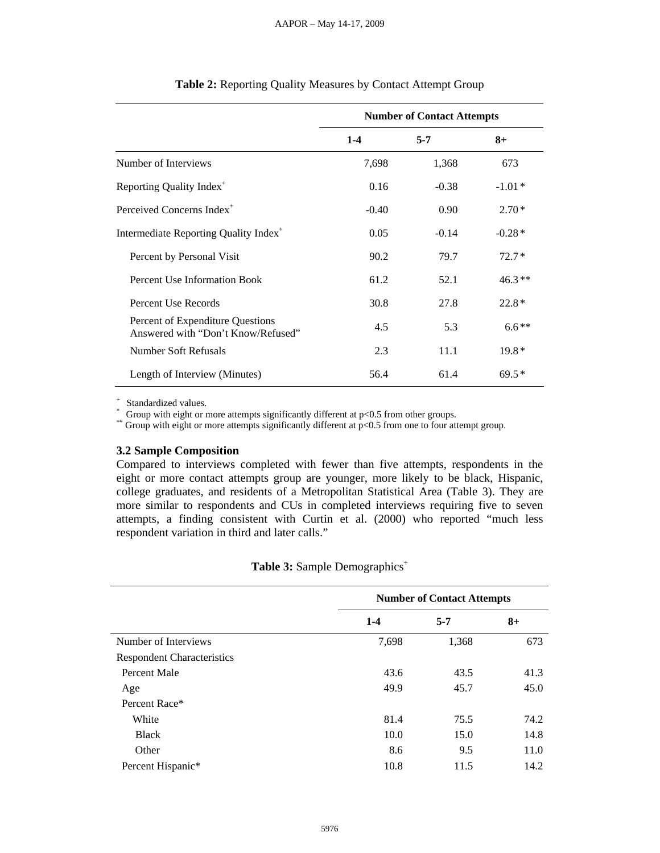|                                                                        | <b>Number of Contact Attempts</b> |         |          |  |
|------------------------------------------------------------------------|-----------------------------------|---------|----------|--|
|                                                                        | $1 - 4$                           | $5 - 7$ | $8+$     |  |
| Number of Interviews                                                   | 7,698                             | 1,368   | 673      |  |
| Reporting Quality Index <sup>+</sup>                                   | 0.16                              | $-0.38$ | $-1.01*$ |  |
| Perceived Concerns Index <sup>+</sup>                                  | $-0.40$                           | 0.90    | $2.70*$  |  |
| Intermediate Reporting Quality Index <sup>+</sup>                      | 0.05                              | $-0.14$ | $-0.28*$ |  |
| Percent by Personal Visit                                              | 90.2                              | 79.7    | $72.7*$  |  |
| <b>Percent Use Information Book</b>                                    | 61.2                              | 52.1    | $46.3**$ |  |
| Percent Use Records                                                    | 30.8                              | 27.8    | $22.8*$  |  |
| Percent of Expenditure Questions<br>Answered with "Don't Know/Refused" | 4.5                               | 5.3     | $6.6**$  |  |
| Number Soft Refusals                                                   | 2.3                               | 11.1    | $19.8*$  |  |
| Length of Interview (Minutes)                                          | 56.4                              | 61.4    | $69.5*$  |  |

## **Table 2:** Reporting Quality Measures by Contact Attempt Group

+ Standardized values. \* Group with eight or more attempts significantly different at p<0.5 from other groups. \*\* Group with eight or more attempts significantly different at p<0.5 from one to four attempt group.

#### **3.2 Sample Composition**

Compared to interviews completed with fewer than five attempts, respondents in the eight or more contact attempts group are younger, more likely to be black, Hispanic, college graduates, and residents of a Metropolitan Statistical Area (Table 3). They are more similar to respondents and CUs in completed interviews requiring five to seven attempts, a finding consistent with Curtin et al. (2000) who reported "much less respondent variation in third and later calls."

|                                   | <b>Number of Contact Attempts</b> |         |      |  |
|-----------------------------------|-----------------------------------|---------|------|--|
|                                   | $1-4$                             | $5 - 7$ | $8+$ |  |
| Number of Interviews              | 7,698                             | 1,368   | 673  |  |
| <b>Respondent Characteristics</b> |                                   |         |      |  |
| Percent Male                      | 43.6                              | 43.5    | 41.3 |  |
| Age                               | 49.9                              | 45.7    | 45.0 |  |
| Percent Race*                     |                                   |         |      |  |
| White                             | 81.4                              | 75.5    | 74.2 |  |
| <b>Black</b>                      | 10.0                              | 15.0    | 14.8 |  |
| Other                             | 8.6                               | 9.5     | 11.0 |  |
| Percent Hispanic*                 | 10.8                              | 11.5    | 14.2 |  |

Table 3: Sample Demographics<sup>+</sup>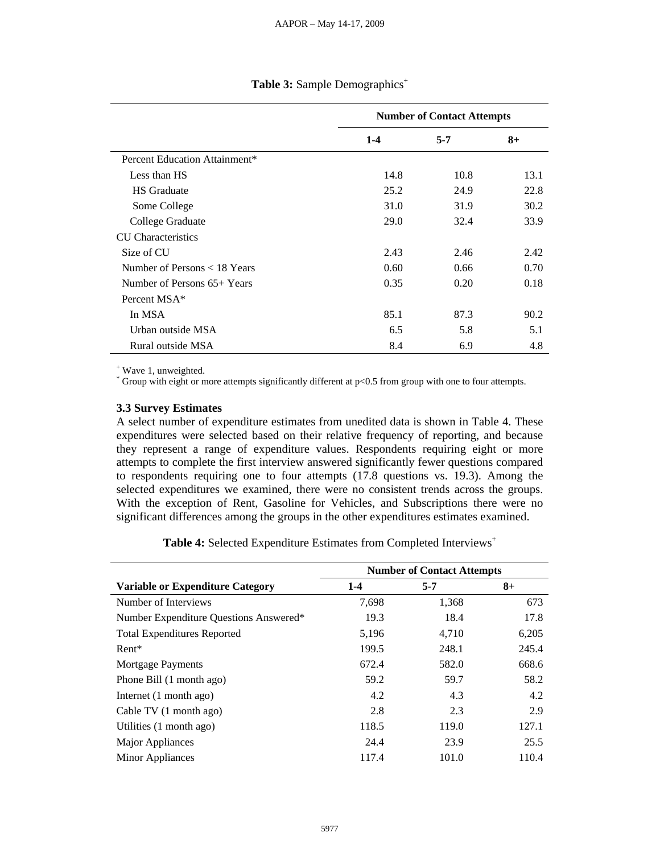|                               | <b>Number of Contact Attempts</b> |         |      |  |
|-------------------------------|-----------------------------------|---------|------|--|
|                               | $1 - 4$                           | $5 - 7$ | $8+$ |  |
| Percent Education Attainment* |                                   |         |      |  |
| Less than HS                  | 14.8                              | 10.8    | 13.1 |  |
| <b>HS</b> Graduate            | 25.2                              | 24.9    | 22.8 |  |
| Some College                  | 31.0                              | 31.9    | 30.2 |  |
| College Graduate              | 29.0                              | 32.4    | 33.9 |  |
| <b>CU</b> Characteristics     |                                   |         |      |  |
| Size of CU                    | 2.43                              | 2.46    | 2.42 |  |
| Number of Persons < 18 Years  | 0.60                              | 0.66    | 0.70 |  |
| Number of Persons 65+ Years   | 0.35                              | 0.20    | 0.18 |  |
| Percent MSA*                  |                                   |         |      |  |
| In MSA                        | 85.1                              | 87.3    | 90.2 |  |
| Urban outside MSA             | 6.5                               | 5.8     | 5.1  |  |
| Rural outside MSA             | 8.4                               | 6.9     | 4.8  |  |

# Table 3: Sample Demographics<sup>+</sup>

+ Wave 1, unweighted.

\* Group with eight or more attempts significantly different at p<0.5 from group with one to four attempts.

#### **3.3 Survey Estimates**

A select number of expenditure estimates from unedited data is shown in Table 4. These expenditures were selected based on their relative frequency of reporting, and because they represent a range of expenditure values. Respondents requiring eight or more attempts to complete the first interview answered significantly fewer questions compared to respondents requiring one to four attempts (17.8 questions vs. 19.3). Among the selected expenditures we examined, there were no consistent trends across the groups. With the exception of Rent, Gasoline for Vehicles, and Subscriptions there were no significant differences among the groups in the other expenditures estimates examined.

Table 4: Selected Expenditure Estimates from Completed Interviews<sup>+</sup>

|                                         | <b>Number of Contact Attempts</b> |         |       |  |  |
|-----------------------------------------|-----------------------------------|---------|-------|--|--|
| <b>Variable or Expenditure Category</b> | $1 - 4$                           | $5 - 7$ | $8+$  |  |  |
| Number of Interviews                    | 7,698                             | 1,368   | 673   |  |  |
| Number Expenditure Questions Answered*  | 19.3                              | 18.4    | 17.8  |  |  |
| <b>Total Expenditures Reported</b>      | 5,196                             | 4,710   | 6,205 |  |  |
| $Rent*$                                 | 199.5                             | 248.1   | 245.4 |  |  |
| <b>Mortgage Payments</b>                | 672.4                             | 582.0   | 668.6 |  |  |
| Phone Bill (1 month ago)                | 59.2                              | 59.7    | 58.2  |  |  |
| Internet (1 month ago)                  | 4.2                               | 4.3     | 4.2   |  |  |
| Cable TV (1 month ago)                  | 2.8                               | 2.3     | 2.9   |  |  |
| Utilities (1 month ago)                 | 118.5                             | 119.0   | 127.1 |  |  |
| Major Appliances                        | 24.4                              | 23.9    | 25.5  |  |  |
| Minor Appliances                        | 117.4                             | 101.0   | 110.4 |  |  |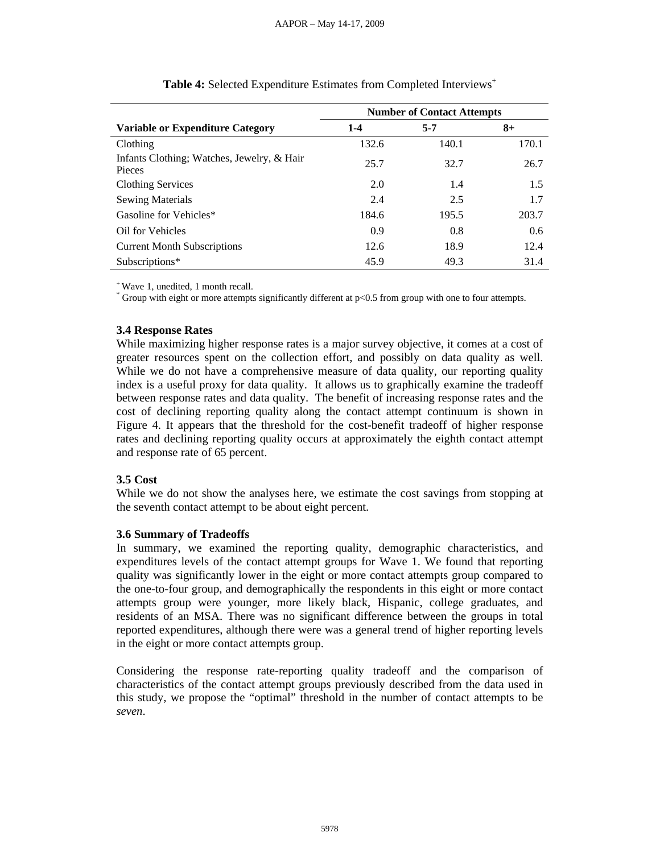|                                                      | <b>Number of Contact Attempts</b> |         |       |  |  |
|------------------------------------------------------|-----------------------------------|---------|-------|--|--|
| <b>Variable or Expenditure Category</b>              | $1 - 4$                           | $5 - 7$ | $8+$  |  |  |
| Clothing                                             | 132.6                             | 140.1   | 170.1 |  |  |
| Infants Clothing; Watches, Jewelry, & Hair<br>Pieces | 25.7                              | 32.7    | 26.7  |  |  |
| <b>Clothing Services</b>                             | 2.0                               | 1.4     | 1.5   |  |  |
| <b>Sewing Materials</b>                              | 2.4                               | 2.5     | 1.7   |  |  |
| Gasoline for Vehicles*                               | 184.6                             | 195.5   | 203.7 |  |  |
| Oil for Vehicles                                     | 0.9                               | 0.8     | 0.6   |  |  |
| <b>Current Month Subscriptions</b>                   | 12.6                              | 18.9    | 12.4  |  |  |
| Subscriptions*                                       | 45.9                              | 49.3    | 31.4  |  |  |

**Table 4:** Selected Expenditure Estimates from Completed Interviews<sup>+</sup>

+ Wave 1, unedited, 1 month recall.

\* Group with eight or more attempts significantly different at p<0.5 from group with one to four attempts.

## **3.4 Response Rates**

While maximizing higher response rates is a major survey objective, it comes at a cost of greater resources spent on the collection effort, and possibly on data quality as well. While we do not have a comprehensive measure of data quality, our reporting quality index is a useful proxy for data quality. It allows us to graphically examine the tradeoff between response rates and data quality. The benefit of increasing response rates and the cost of declining reporting quality along the contact attempt continuum is shown in Figure 4. It appears that the threshold for the cost-benefit tradeoff of higher response rates and declining reporting quality occurs at approximately the eighth contact attempt and response rate of 65 percent.

# **3.5 Cost**

While we do not show the analyses here, we estimate the cost savings from stopping at the seventh contact attempt to be about eight percent.

#### **3.6 Summary of Tradeoffs**

In summary, we examined the reporting quality, demographic characteristics, and expenditures levels of the contact attempt groups for Wave 1. We found that reporting quality was significantly lower in the eight or more contact attempts group compared to the one-to-four group, and demographically the respondents in this eight or more contact attempts group were younger, more likely black, Hispanic, college graduates, and residents of an MSA. There was no significant difference between the groups in total reported expenditures, although there were was a general trend of higher reporting levels in the eight or more contact attempts group.

Considering the response rate-reporting quality tradeoff and the comparison of characteristics of the contact attempt groups previously described from the data used in this study, we propose the "optimal" threshold in the number of contact attempts to be *seven*.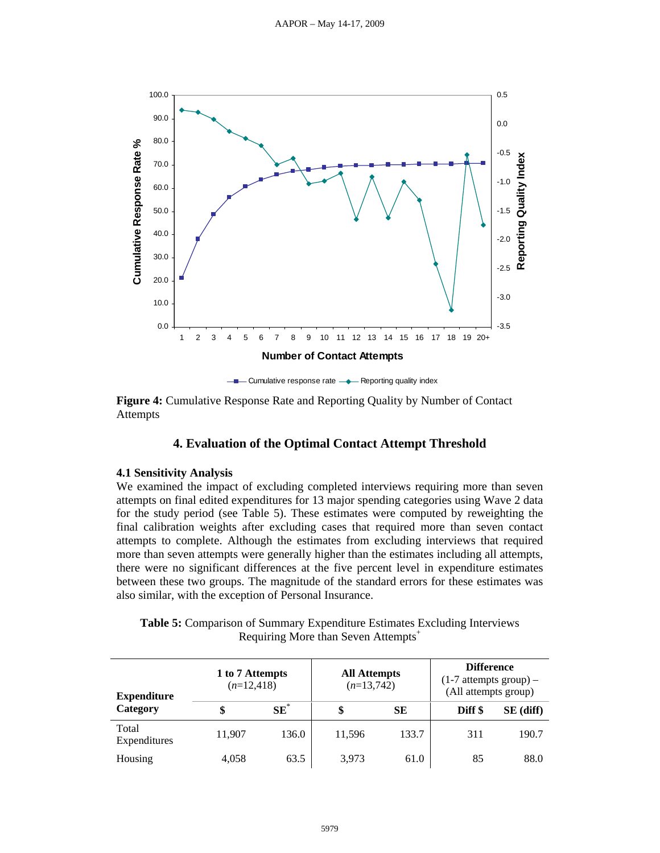

**Figure 4:** Cumulative Response Rate and Reporting Quality by Number of Contact Attempts

# **4. Evaluation of the Optimal Contact Attempt Threshold**

#### **4.1 Sensitivity Analysis**

We examined the impact of excluding completed interviews requiring more than seven attempts on final edited expenditures for 13 major spending categories using Wave 2 data for the study period (see Table 5). These estimates were computed by reweighting the final calibration weights after excluding cases that required more than seven contact attempts to complete. Although the estimates from excluding interviews that required more than seven attempts were generally higher than the estimates including all attempts, there were no significant differences at the five percent level in expenditure estimates between these two groups. The magnitude of the standard errors for these estimates was also similar, with the exception of Personal Insurance.

**Table 5:** Comparison of Summary Expenditure Estimates Excluding Interviews Requiring More than Seven Attempts<sup>+</sup>

| 1 to 7 Attempts<br>$(n=12,418)$<br><b>Expenditure</b> |        |        | <b>All Attempts</b><br>$(n=13,742)$ |           | <b>Difference</b><br>$(1-7$ attempts group) –<br>(All attempts group) |             |
|-------------------------------------------------------|--------|--------|-------------------------------------|-----------|-----------------------------------------------------------------------|-------------|
| Category                                              | Œ      | $SE^*$ | \$                                  | <b>SE</b> | Diff \$                                                               | $SE$ (diff) |
| Total<br>Expenditures                                 | 11,907 | 136.0  | 11.596                              | 133.7     | 311                                                                   | 190.7       |
| Housing                                               | 4,058  | 63.5   | 3.973                               | 61.0      | 85                                                                    | 88.0        |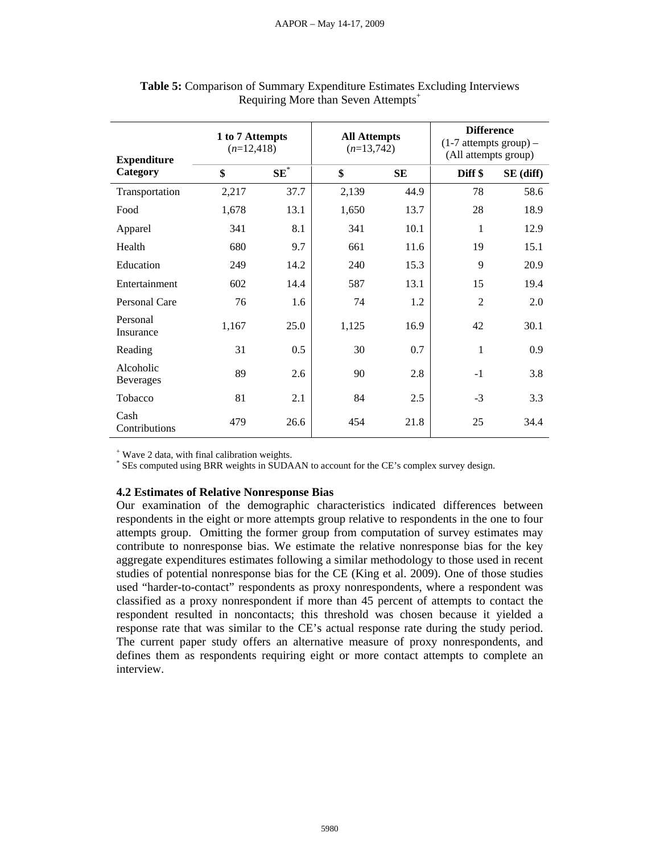| <b>Expenditure</b>     | 1 to 7 Attempts<br>$(n=12,418)$ |        | <b>All Attempts</b><br>$(n=13,742)$ |           | <b>Difference</b><br>$(1-7$ attempts group) –<br>(All attempts group) |           |
|------------------------|---------------------------------|--------|-------------------------------------|-----------|-----------------------------------------------------------------------|-----------|
| Category               | \$                              | $SE^*$ | \$                                  | <b>SE</b> | Diff \$                                                               | SE (diff) |
| Transportation         | 2,217                           | 37.7   | 2,139                               | 44.9      | 78                                                                    | 58.6      |
| Food                   | 1,678                           | 13.1   | 1,650                               | 13.7      | 28                                                                    | 18.9      |
| Apparel                | 341                             | 8.1    | 341                                 | 10.1      | 1                                                                     | 12.9      |
| Health                 | 680                             | 9.7    | 661                                 | 11.6      | 19                                                                    | 15.1      |
| Education              | 249                             | 14.2   | 240                                 | 15.3      | 9                                                                     | 20.9      |
| Entertainment          | 602                             | 14.4   | 587                                 | 13.1      | 15                                                                    | 19.4      |
| Personal Care          | 76                              | 1.6    | 74                                  | 1.2       | $\overline{2}$                                                        | 2.0       |
| Personal<br>Insurance  | 1,167                           | 25.0   | 1,125                               | 16.9      | 42                                                                    | 30.1      |
| Reading                | 31                              | 0.5    | 30                                  | 0.7       | 1                                                                     | 0.9       |
| Alcoholic<br>Beverages | 89                              | 2.6    | 90                                  | 2.8       | $-1$                                                                  | 3.8       |
| Tobacco                | 81                              | 2.1    | 84                                  | 2.5       | $-3$                                                                  | 3.3       |
| Cash<br>Contributions  | 479                             | 26.6   | 454                                 | 21.8      | 25                                                                    | 34.4      |

| Table 5: Comparison of Summary Expenditure Estimates Excluding Interviews |  |
|---------------------------------------------------------------------------|--|
| Requiring More than Seven Attempts <sup>+</sup>                           |  |

+ Wave 2 data, with final calibration weights.

\* SEs computed using BRR weights in SUDAAN to account for the CE's complex survey design.

#### **4.2 Estimates of Relative Nonresponse Bias**

Our examination of the demographic characteristics indicated differences between respondents in the eight or more attempts group relative to respondents in the one to four attempts group. Omitting the former group from computation of survey estimates may contribute to nonresponse bias. We estimate the relative nonresponse bias for the key aggregate expenditures estimates following a similar methodology to those used in recent studies of potential nonresponse bias for the CE (King et al. 2009). One of those studies used "harder-to-contact" respondents as proxy nonrespondents, where a respondent was classified as a proxy nonrespondent if more than 45 percent of attempts to contact the respondent resulted in noncontacts; this threshold was chosen because it yielded a response rate that was similar to the CE's actual response rate during the study period. The current paper study offers an alternative measure of proxy nonrespondents, and defines them as respondents requiring eight or more contact attempts to complete an interview.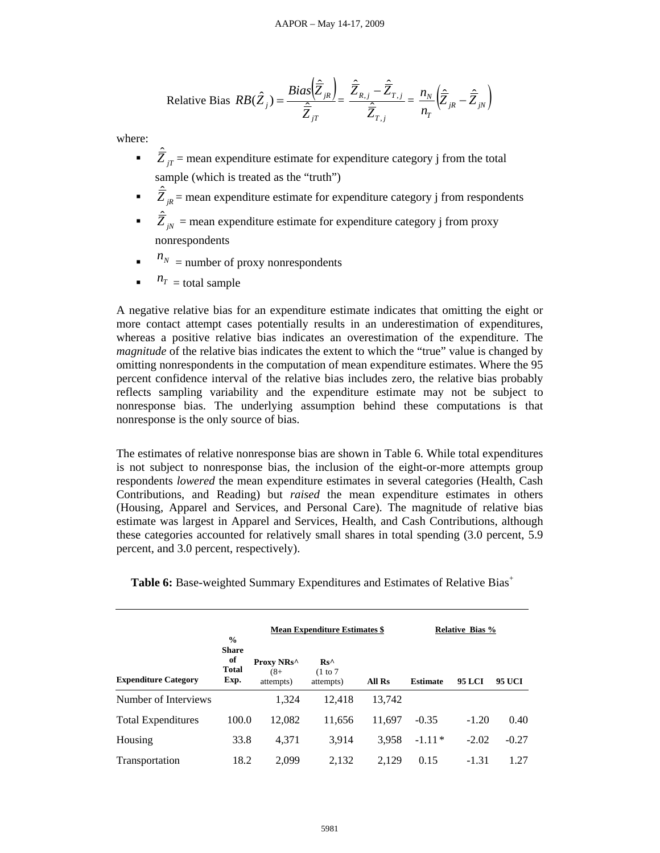Relative Bias 
$$
RB(\hat{Z}_j) = \frac{Bias(\hat{\overline{Z}}_{jk})}{\hat{Z}_{jT}} = \frac{\hat{\overline{Z}}_{R,j} - \hat{\overline{Z}}_{T,j}}{\hat{\overline{Z}}_{T,j}} = \frac{n_N}{n_T} (\hat{\overline{Z}}_{jk} - \hat{\overline{Z}}_{jN})
$$

where:

- $\overrightarrow{Z}_{jT}$  = mean expenditure estimate for expenditure category j from the total sample (which is treated as the "truth")
- $\overrightarrow{Z}_{jR}$  = mean expenditure estimate for expenditure category j from respondents
- $\hat{Z}_{jN}$  = mean expenditure estimate for expenditure category j from proxy nonrespondents
- $\blacksquare$   $\blacksquare$   $\blacksquare$   $\blacksquare$  number of proxy nonrespondents
- $\blacksquare$   $n_T$  = total sample

A negative relative bias for an expenditure estimate indicates that omitting the eight or more contact attempt cases potentially results in an underestimation of expenditures, whereas a positive relative bias indicates an overestimation of the expenditure. The *magnitude* of the relative bias indicates the extent to which the "true" value is changed by omitting nonrespondents in the computation of mean expenditure estimates. Where the 95 percent confidence interval of the relative bias includes zero, the relative bias probably reflects sampling variability and the expenditure estimate may not be subject to nonresponse bias. The underlying assumption behind these computations is that nonresponse is the only source of bias.

The estimates of relative nonresponse bias are shown in Table 6. While total expenditures is not subject to nonresponse bias, the inclusion of the eight-or-more attempts group respondents *lowered* the mean expenditure estimates in several categories (Health, Cash Contributions, and Reading) but *raised* the mean expenditure estimates in others (Housing, Apparel and Services, and Personal Care). The magnitude of relative bias estimate was largest in Apparel and Services, Health, and Cash Contributions, although these categories accounted for relatively small shares in total spending (3.0 percent, 5.9 percent, and 3.0 percent, respectively).

|                             | $\frac{0}{0}$                              | <b>Mean Expenditure Estimates \$</b> |                                        |        | <b>Relative Bias %</b> |               |               |
|-----------------------------|--------------------------------------------|--------------------------------------|----------------------------------------|--------|------------------------|---------------|---------------|
| <b>Expenditure Category</b> | <b>Share</b><br>of<br><b>Total</b><br>Exp. | Proxy NRs^<br>$(8 +$<br>attempts)    | $Rs^{\wedge}$<br>(1 to 7)<br>attempts) | All Rs | <b>Estimate</b>        | <b>95 LCI</b> | <b>95 UCI</b> |
| Number of Interviews        |                                            | 1.324                                | 12.418                                 | 13.742 |                        |               |               |
| <b>Total Expenditures</b>   | 100.0                                      | 12,082                               | 11,656                                 | 11.697 | $-0.35$                | $-1.20$       | 0.40          |
| Housing                     | 33.8                                       | 4,371                                | 3,914                                  | 3,958  | $-1.11*$               | $-2.02$       | $-0.27$       |
| Transportation              | 18.2                                       | 2.099                                | 2,132                                  | 2.129  | 0.15                   | $-1.31$       | 1.27          |

**Table 6:** Base-weighted Summary Expenditures and Estimates of Relative Bias<sup>+</sup>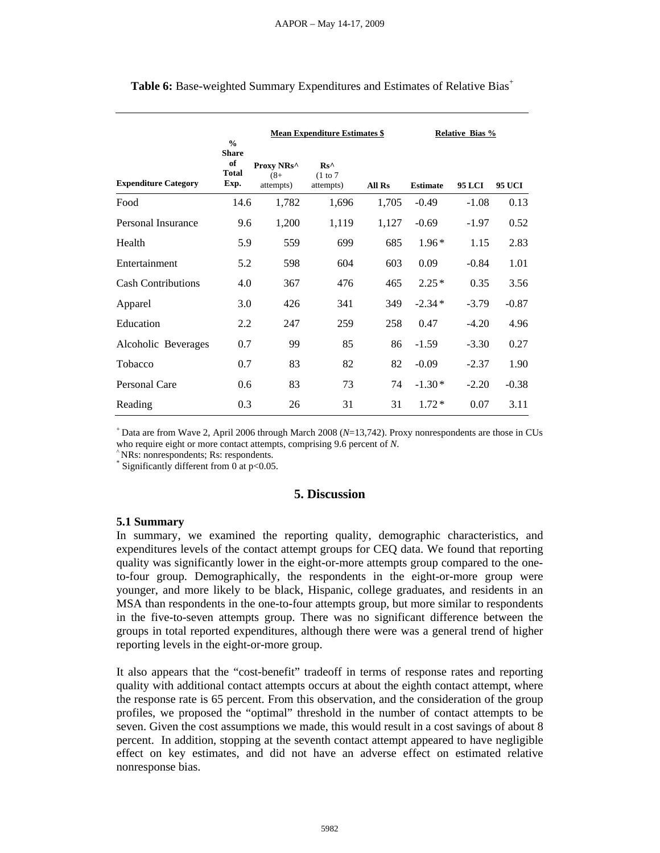|                             | $\frac{0}{0}$                              |                                     | <b>Mean Expenditure Estimates \$</b>   |        |                 | <b>Relative Bias %</b> |               |
|-----------------------------|--------------------------------------------|-------------------------------------|----------------------------------------|--------|-----------------|------------------------|---------------|
| <b>Expenditure Category</b> | <b>Share</b><br>of<br><b>Total</b><br>Exp. | Proxy NRs^<br>$(8 + )$<br>attempts) | $Rs^{\wedge}$<br>(1 to 7)<br>attempts) | All Rs | <b>Estimate</b> | <b>95 LCI</b>          | <b>95 UCI</b> |
| Food                        | 14.6                                       | 1,782                               | 1,696                                  | 1,705  | $-0.49$         | $-1.08$                | 0.13          |
| Personal Insurance          | 9.6                                        | 1,200                               | 1,119                                  | 1,127  | $-0.69$         | $-1.97$                | 0.52          |
| Health                      | 5.9                                        | 559                                 | 699                                    | 685    | $1.96*$         | 1.15                   | 2.83          |
| Entertainment               | 5.2                                        | 598                                 | 604                                    | 603    | 0.09            | $-0.84$                | 1.01          |
| <b>Cash Contributions</b>   | 4.0                                        | 367                                 | 476                                    | 465    | $2.25*$         | 0.35                   | 3.56          |
| Apparel                     | 3.0                                        | 426                                 | 341                                    | 349    | $-2.34*$        | $-3.79$                | $-0.87$       |
| Education                   | 2.2                                        | 247                                 | 259                                    | 258    | 0.47            | $-4.20$                | 4.96          |
| Alcoholic Beverages         | 0.7                                        | 99                                  | 85                                     | 86     | $-1.59$         | $-3.30$                | 0.27          |
| Tobacco                     | 0.7                                        | 83                                  | 82                                     | 82     | $-0.09$         | $-2.37$                | 1.90          |
| Personal Care               | 0.6                                        | 83                                  | 73                                     | 74     | $-1.30*$        | $-2.20$                | $-0.38$       |
| Reading                     | 0.3                                        | 26                                  | 31                                     | 31     | $1.72*$         | 0.07                   | 3.11          |

**Table 6:** Base-weighted Summary Expenditures and Estimates of Relative Bias<sup>+</sup>

<sup>+</sup> Data are from Wave 2, April 2006 through March 2008 (*N*=13,742). Proxy nonrespondents are those in CUs who require eight or more contact attempts, comprising 9.6 percent of *N*. ^ NRs: nonrespondents; Rs: respondents.

Significantly different from 0 at  $p<0.05$ .

#### **5. Discussion**

#### **5.1 Summary**

In summary, we examined the reporting quality, demographic characteristics, and expenditures levels of the contact attempt groups for CEQ data. We found that reporting quality was significantly lower in the eight-or-more attempts group compared to the oneto-four group. Demographically, the respondents in the eight-or-more group were younger, and more likely to be black, Hispanic, college graduates, and residents in an MSA than respondents in the one-to-four attempts group, but more similar to respondents in the five-to-seven attempts group. There was no significant difference between the groups in total reported expenditures, although there were was a general trend of higher reporting levels in the eight-or-more group.

It also appears that the "cost-benefit" tradeoff in terms of response rates and reporting quality with additional contact attempts occurs at about the eighth contact attempt, where the response rate is 65 percent. From this observation, and the consideration of the group profiles, we proposed the "optimal" threshold in the number of contact attempts to be seven. Given the cost assumptions we made, this would result in a cost savings of about 8 percent. In addition, stopping at the seventh contact attempt appeared to have negligible effect on key estimates, and did not have an adverse effect on estimated relative nonresponse bias.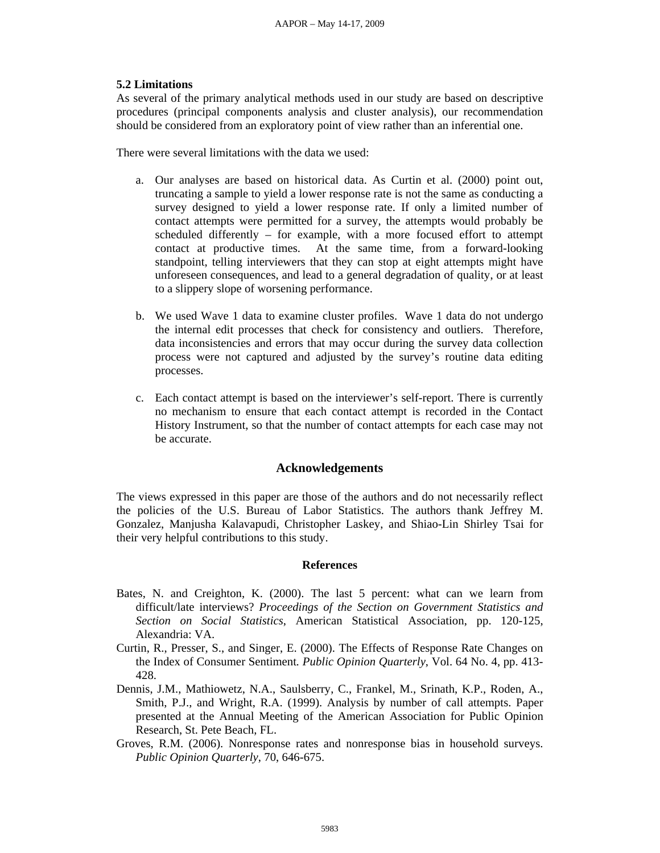#### **5.2 Limitations**

As several of the primary analytical methods used in our study are based on descriptive procedures (principal components analysis and cluster analysis), our recommendation should be considered from an exploratory point of view rather than an inferential one.

There were several limitations with the data we used:

- a. Our analyses are based on historical data. As Curtin et al. (2000) point out, truncating a sample to yield a lower response rate is not the same as conducting a survey designed to yield a lower response rate. If only a limited number of contact attempts were permitted for a survey, the attempts would probably be scheduled differently – for example, with a more focused effort to attempt contact at productive times. At the same time, from a forward-looking standpoint, telling interviewers that they can stop at eight attempts might have unforeseen consequences, and lead to a general degradation of quality, or at least to a slippery slope of worsening performance.
- b. We used Wave 1 data to examine cluster profiles. Wave 1 data do not undergo the internal edit processes that check for consistency and outliers. Therefore, data inconsistencies and errors that may occur during the survey data collection process were not captured and adjusted by the survey's routine data editing processes.
- c. Each contact attempt is based on the interviewer's self-report. There is currently no mechanism to ensure that each contact attempt is recorded in the Contact History Instrument, so that the number of contact attempts for each case may not be accurate.

#### **Acknowledgements**

The views expressed in this paper are those of the authors and do not necessarily reflect the policies of the U.S. Bureau of Labor Statistics. The authors thank Jeffrey M. Gonzalez, Manjusha Kalavapudi, Christopher Laskey, and Shiao-Lin Shirley Tsai for their very helpful contributions to this study.

#### **References**

- Bates, N. and Creighton, K. (2000). The last 5 percent: what can we learn from difficult/late interviews? *Proceedings of the Section on Government Statistics and Section on Social Statistics*, American Statistical Association, pp. 120-125, Alexandria: VA.
- Curtin, R., Presser, S., and Singer, E. (2000). The Effects of Response Rate Changes on the Index of Consumer Sentiment*. Public Opinion Quarterly*, Vol. 64 No. 4, pp. 413- 428.
- Dennis, J.M., Mathiowetz, N.A., Saulsberry, C., Frankel, M., Srinath, K.P., Roden, A., Smith, P.J., and Wright, R.A. (1999). Analysis by number of call attempts. Paper presented at the Annual Meeting of the American Association for Public Opinion Research, St. Pete Beach, FL.
- Groves, R.M. (2006). Nonresponse rates and nonresponse bias in household surveys. *Public Opinion Quarterly*, 70, 646-675.